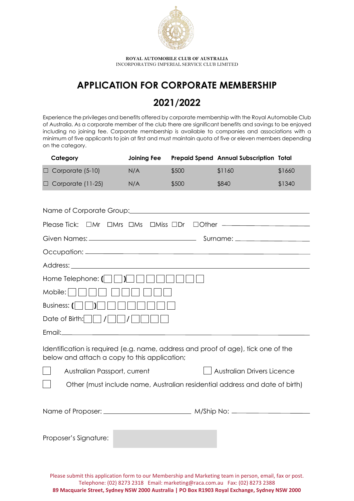

**ROYAL AUTOMOBILE CLUB OF AUSTRALIA** INCORPORATING IMPERIAL SERVICE CLUB LIMITED

## **APPLICATION FOR CORPORATE MEMBERSHIP**

## **2021/2022**

Experience the privileges and benefits offered by corporate membership with the Royal Automobile Club of Australia. As a corporate member of the club there are significant benefits and savings to be enjoyed including no joining fee. Corporate membership is available to companies and associations with a minimum of five applicants to join at first and must maintain quota of five or eleven members depending on the category.

| Category                                                                                                                          | <b>Joining Fee</b> |       | Prepaid Spend Annual Subscription Total |        |  |  |
|-----------------------------------------------------------------------------------------------------------------------------------|--------------------|-------|-----------------------------------------|--------|--|--|
| $\Box$ Corporate (5-10)                                                                                                           | N/A                | \$500 | \$1160                                  | \$1660 |  |  |
| $\Box$ Corporate (11-25)                                                                                                          | N/A                | \$500 | \$840                                   | \$1340 |  |  |
|                                                                                                                                   |                    |       |                                         |        |  |  |
| Name of Corporate Group: \\contact \\contact \\contact \\contact \\contact \\contact \\contact \\contact \\conta                  |                    |       |                                         |        |  |  |
| Please Tick: $\Box$ Mr $\Box$ Mrs $\Box$ Ms $\Box$ Miss $\Box$ Dr $\Box$ Other ——————————————                                     |                    |       |                                         |        |  |  |
|                                                                                                                                   |                    |       |                                         |        |  |  |
|                                                                                                                                   |                    |       |                                         |        |  |  |
|                                                                                                                                   |                    |       |                                         |        |  |  |
| $\sqrt{ }$<br>Home Telephone: $(  \   \  )$                                                                                       |                    |       |                                         |        |  |  |
| Mobile:                                                                                                                           |                    |       |                                         |        |  |  |
| Business: $(  \   \  )$                                                                                                           |                    |       |                                         |        |  |  |
| Date of Birth: $\sqrt{\sqrt{2}}$<br>$\vert$ / $\vert$                                                                             |                    |       |                                         |        |  |  |
|                                                                                                                                   |                    |       |                                         |        |  |  |
| Identification is required (e.g. name, address and proof of age), tick one of the<br>below and attach a copy to this application; |                    |       |                                         |        |  |  |
| Australian Passport, current                                                                                                      |                    |       | <b>Australian Drivers Licence</b>       |        |  |  |
| Other (must include name, Australian residential address and date of birth)                                                       |                    |       |                                         |        |  |  |
|                                                                                                                                   |                    |       |                                         |        |  |  |
|                                                                                                                                   |                    |       |                                         |        |  |  |
|                                                                                                                                   |                    |       |                                         |        |  |  |
| Proposer's Signature:                                                                                                             |                    |       |                                         |        |  |  |
|                                                                                                                                   |                    |       |                                         |        |  |  |
|                                                                                                                                   |                    |       |                                         |        |  |  |

Please submit this application form to our Membership and Marketing team in person, email, fax or post. Telephone: (02) 8273 2318 Email: marketing@raca.com.au Fax: (02) 8273 2388 **89 Macquarie Street, Sydney NSW 2000 Australia | PO Box R1903 Royal Exchange, Sydney NSW 2000**